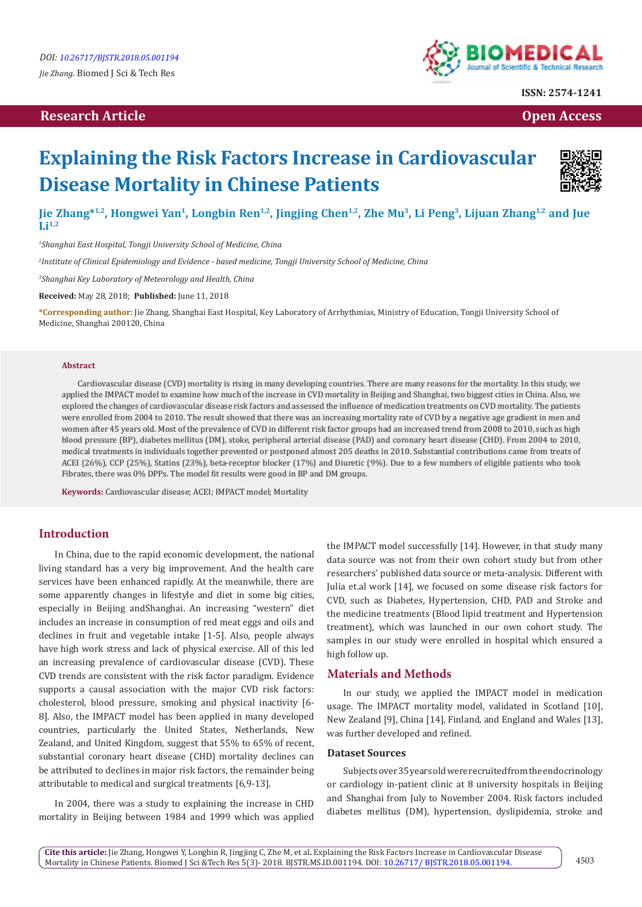# **Research Article Open Access Contract Article Open Access Open Access Open Access**



**ISSN: 2574-1241**

# **Explaining the Risk Factors Increase in Cardiovascular Disease Mortality in Chinese Patients**



**Jie Zhang\*1,2, Hongwei Yan1, Longbin Ren1,2, Jingjing Chen1,2, Zhe Mu3, Li Peng3, Lijuan Zhang1,2 and Jue Li1,2**

*1 Shanghai East Hospital, Tongji University School of Medicine, China*

*2 Institute of Clinical Epidemiology and Evidence - based medicine, Tongji University School of Medicine, China*

*3 Shanghai Key Laboratory of Meteorology and Health, China* 

**Received:** May 28, 2018; **Published:** June 11, 2018

**\*Corresponding author:** Jie Zhang, Shanghai East Hospital, Key Laboratory of Arrhythmias, Ministry of Education, Tongji University School of Medicine, Shanghai 200120, China

#### **Abstract**

Cardiovascular disease (CVD) mortality is rising in many developing countries. There are many reasons for the mortality. In this study, we applied the IMPACT model to examine how much of the increase in CVD mortality in Beijing and Shanghai, two biggest cities in China. Also, we explored the changes of cardiovascular disease risk factors and assessed the influence of medication treatments on CVD mortality. The patients were enrolled from 2004 to 2010. The result showed that there was an increasing mortality rate of CVD by a negative age gradient in men and women after 45 years old. Most of the prevalence of CVD in different risk factor groups had an increased trend from 2008 to 2010, such as high blood pressure (BP), diabetes mellitus (DM), stoke, peripheral arterial disease (PAD) and coronary heart disease (CHD). From 2004 to 2010, medical treatments in individuals together prevented or postponed almost 205 deaths in 2010. Substantial contributions came from treats of ACEI (26%), CCP (25%), Statins (23%), beta-receptor blocker (17%) and Diuretic (9%). Due to a few numbers of eligible patients who took Fibrates, there was 0% DPPs. The model fit results were good in BP and DM groups.

**Keywords:** Cardiovascular disease; ACEI; IMPACT model; Mortality

## **Introduction**

In China, due to the rapid economic development, the national living standard has a very big improvement. And the health care services have been enhanced rapidly. At the meanwhile, there are some apparently changes in lifestyle and diet in some big cities, especially in Beijing andShanghai. An increasing "western" diet includes an increase in consumption of red meat eggs and oils and declines in fruit and vegetable intake [1-5]. Also, people always have high work stress and lack of physical exercise. All of this led an increasing prevalence of cardiovascular disease (CVD). These CVD trends are consistent with the risk factor paradigm. Evidence supports a causal association with the major CVD risk factors: cholesterol, blood pressure, smoking and physical inactivity [6- 8]. Also, the IMPACT model has been applied in many developed countries, particularly the United States, Netherlands, New Zealand, and United Kingdom, suggest that 55% to 65% of recent, substantial coronary heart disease (CHD) mortality declines can be attributed to declines in major risk factors, the remainder being attributable to medical and surgical treatments [6,9-13].

In 2004, there was a study to explaining the increase in CHD mortality in Beijing between 1984 and 1999 which was applied the IMPACT model successfully [14]. However, in that study many data source was not from their own cohort study but from other researchers' published data source or meta-analysis. Different with Julia et.al work [14], we focused on some disease risk factors for CVD, such as Diabetes, Hypertension, CHD, PAD and Stroke and the medicine treatments (Blood lipid treatment and Hypertension treatment), which was launched in our own cohort study. The samples in our study were enrolled in hospital which ensured a high follow up.

#### **Materials and Methods**

In our study, we applied the IMPACT model in medication usage. The IMPACT mortality model, validated in Scotland [10], New Zealand [9], China [14], Finland, and England and Wales [13], was further developed and refined.

#### **Dataset Sources**

Subjects over 35 years old were recruited from the endocrinology or cardiology in-patient clinic at 8 university hospitals in Beijing and Shanghai from July to November 2004. Risk factors included diabetes mellitus (DM), hypertension, dyslipidemia, stroke and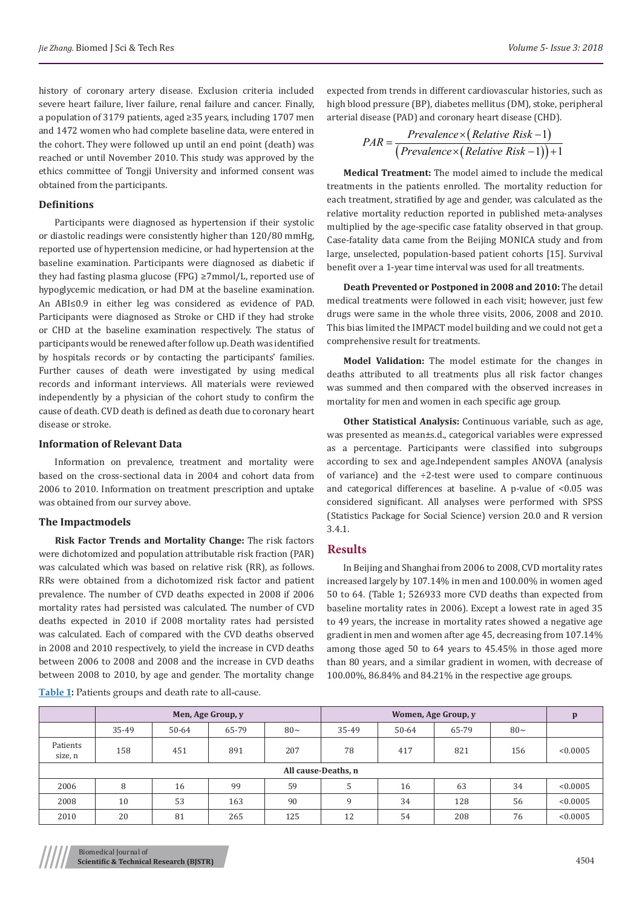history of coronary artery disease. Exclusion criteria included severe heart failure, liver failure, renal failure and cancer. Finally, a population of 3179 patients, aged ≥35 years, including 1707 men and 1472 women who had complete baseline data, were entered in the cohort. They were followed up until an end point (death) was reached or until November 2010. This study was approved by the ethics committee of Tongji University and informed consent was obtained from the participants.

#### **Definitions**

Participants were diagnosed as hypertension if their systolic or diastolic readings were consistently higher than 120/80 mmHg, reported use of hypertension medicine, or had hypertension at the baseline examination. Participants were diagnosed as diabetic if they had fasting plasma glucose (FPG) ≥7mmol/L, reported use of hypoglycemic medication, or had DM at the baseline examination. An ABI≤0.9 in either leg was considered as evidence of PAD. Participants were diagnosed as Stroke or CHD if they had stroke or CHD at the baseline examination respectively. The status of participants would be renewed after follow up. Death was identified by hospitals records or by contacting the participants' families. Further causes of death were investigated by using medical records and informant interviews. All materials were reviewed independently by a physician of the cohort study to confirm the cause of death. CVD death is defined as death due to coronary heart disease or stroke.

#### **Information of Relevant Data**

Information on prevalence, treatment and mortality were based on the cross-sectional data in 2004 and cohort data from 2006 to 2010. Information on treatment prescription and uptake was obtained from our survey above.

#### **The Impactmodels**

**Risk Factor Trends and Mortality Change:** The risk factors were dichotomized and population attributable risk fraction (PAR) was calculated which was based on relative risk (RR), as follows. RRs were obtained from a dichotomized risk factor and patient prevalence. The number of CVD deaths expected in 2008 if 2006 mortality rates had persisted was calculated. The number of CVD deaths expected in 2010 if 2008 mortality rates had persisted was calculated. Each of compared with the CVD deaths observed in 2008 and 2010 respectively, to yield the increase in CVD deaths between 2006 to 2008 and 2008 and the increase in CVD deaths between 2008 to 2010, by age and gender. The mortality change **Table 1:** Patients groups and death rate to all-cause.

expected from trends in different cardiovascular histories, such as high blood pressure (BP), diabetes mellitus (DM), stoke, peripheral arterial disease (PAD) and coronary heart disease (CHD).

$$
PAR = \frac{Prevalence \times (Relative Risk - 1)}{(Prevalence \times (Relative Risk - 1)) + 1}
$$

**Medical Treatment:** The model aimed to include the medical treatments in the patients enrolled. The mortality reduction for each treatment, stratified by age and gender, was calculated as the relative mortality reduction reported in published meta-analyses multiplied by the age-specific case fatality observed in that group. Case-fatality data came from the Beijing MONICA study and from large, unselected, population-based patient cohorts [15]. Survival benefit over a 1-year time interval was used for all treatments.

**Death Prevented or Postponed in 2008 and 2010:** The detail medical treatments were followed in each visit; however, just few drugs were same in the whole three visits, 2006, 2008 and 2010. This bias limited the IMPACT model building and we could not get a comprehensive result for treatments.

**Model Validation:** The model estimate for the changes in deaths attributed to all treatments plus all risk factor changes was summed and then compared with the observed increases in mortality for men and women in each specific age group.

**Other Statistical Analysis:** Continuous variable, such as age, was presented as mean±s.d., categorical variables were expressed as a percentage. Participants were classified into subgroups according to sex and age.Independent samples ANOVA (analysis of variance) and the  $\div$ 2-test were used to compare continuous and categorical differences at baseline. A p-value of <0.05 was considered significant. All analyses were performed with SPSS (Statistics Package for Social Science) version 20.0 and R version 3.4.1.

#### **Results**

In Beijing and Shanghai from 2006 to 2008, CVD mortality rates increased largely by 107.14% in men and 100.00% in women aged 50 to 64. (Table 1; 526933 more CVD deaths than expected from baseline mortality rates in 2006). Except a lowest rate in aged 35 to 49 years, the increase in mortality rates showed a negative age gradient in men and women after age 45, decreasing from 107.14% among those aged 50 to 64 years to 45.45% in those aged more than 80 years, and a similar gradient in women, with decrease of 100.00%, 86.84% and 84.21% in the respective age groups.

|                     |       |       | Men, Age Group, y |          |       |       |       |          |          |  |  |  |
|---------------------|-------|-------|-------------------|----------|-------|-------|-------|----------|----------|--|--|--|
|                     | 35-49 | 50-64 | 65-79             | $80\sim$ | 35-49 | 50-64 | 65-79 | $80\sim$ |          |  |  |  |
| Patients<br>size, n | 158   | 451   | 891               | 207      | 78    | 417   | 821   | 156      | < 0.0005 |  |  |  |
| All cause-Deaths, n |       |       |                   |          |       |       |       |          |          |  |  |  |
| 2006                | 8     | 16    | 99                | 59       |       | 16    | 63    | 34       | < 0.0005 |  |  |  |
| 2008                | 10    | 53    | 163               | 90       | q     | 34    | 128   | 56       | < 0.0005 |  |  |  |
| 2010                | 20    | 81    | 265               | 125      | 12    | 54    | 208   | 76       | < 0.0005 |  |  |  |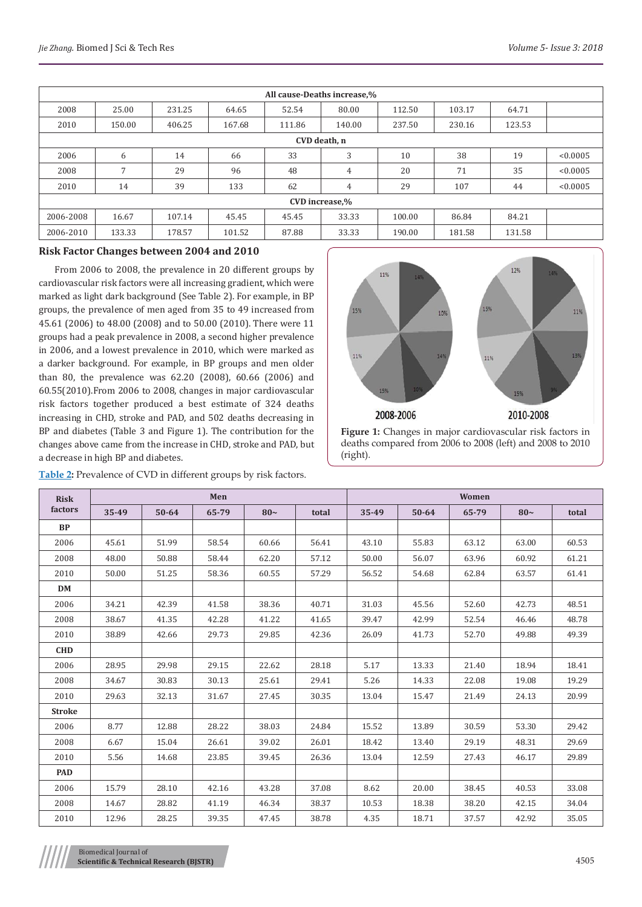| All cause-Deaths increase,% |        |        |        |        |        |        |        |        |          |  |  |  |
|-----------------------------|--------|--------|--------|--------|--------|--------|--------|--------|----------|--|--|--|
| 2008                        | 25.00  | 231.25 | 64.65  | 52.54  | 80.00  | 112.50 | 103.17 | 64.71  |          |  |  |  |
| 2010                        | 150.00 | 406.25 | 167.68 | 111.86 | 140.00 | 237.50 | 230.16 | 123.53 |          |  |  |  |
| CVD death, n                |        |        |        |        |        |        |        |        |          |  |  |  |
| 2006                        | 6      | 14     | 66     | 33     | 3      | 10     | 38     | 19     | < 0.0005 |  |  |  |
| 2008                        | 7      | 29     | 96     | 48     | 4      | 20     | 71     | 35     | < 0.0005 |  |  |  |
| 2010                        | 14     | 39     | 133    | 62     | 4      | 29     | 107    | 44     | < 0.0005 |  |  |  |
| CVD increase,%              |        |        |        |        |        |        |        |        |          |  |  |  |
| 2006-2008                   | 16.67  | 107.14 | 45.45  | 45.45  | 33.33  | 100.00 | 86.84  | 84.21  |          |  |  |  |
| 2006-2010                   | 133.33 | 178.57 | 101.52 | 87.88  | 33.33  | 190.00 | 181.58 | 131.58 |          |  |  |  |

#### **Risk Factor Changes between 2004 and 2010**

From 2006 to 2008, the prevalence in 20 different groups by cardiovascular risk factors were all increasing gradient, which were marked as light dark background (See Table 2). For example, in BP groups, the prevalence of men aged from 35 to 49 increased from 45.61 (2006) to 48.00 (2008) and to 50.00 (2010). There were 11 groups had a peak prevalence in 2008, a second higher prevalence in 2006, and a lowest prevalence in 2010, which were marked as a darker background. For example, in BP groups and men older than 80, the prevalence was 62.20 (2008), 60.66 (2006) and 60.55(2010).From 2006 to 2008, changes in major cardiovascular risk factors together produced a best estimate of 324 deaths increasing in CHD, stroke and PAD, and 502 deaths decreasing in BP and diabetes (Table 3 and Figure 1). The contribution for the changes above came from the increase in CHD, stroke and PAD, but a decrease in high BP and diabetes.

| Table 2: Prevalence of CVD in different groups by risk factors. |  |  |
|-----------------------------------------------------------------|--|--|
|-----------------------------------------------------------------|--|--|



deaths compared from 2006 to 2008 (left) and 2008 to 2010 (right).

| <b>Risk</b>   |       |           | Men   |       |       | Women |           |       |       |       |  |  |
|---------------|-------|-----------|-------|-------|-------|-------|-----------|-------|-------|-------|--|--|
| factors       | 35-49 | $50 - 64$ | 65-79 | $80-$ | total | 35-49 | $50 - 64$ | 65-79 | $80-$ | total |  |  |
| <b>BP</b>     |       |           |       |       |       |       |           |       |       |       |  |  |
| 2006          | 45.61 | 51.99     | 58.54 | 60.66 | 56.41 | 43.10 | 55.83     | 63.12 | 63.00 | 60.53 |  |  |
| 2008          | 48.00 | 50.88     | 58.44 | 62.20 | 57.12 | 50.00 | 56.07     | 63.96 | 60.92 | 61.21 |  |  |
| 2010          | 50.00 | 51.25     | 58.36 | 60.55 | 57.29 | 56.52 | 54.68     | 62.84 | 63.57 | 61.41 |  |  |
| <b>DM</b>     |       |           |       |       |       |       |           |       |       |       |  |  |
| 2006          | 34.21 | 42.39     | 41.58 | 38.36 | 40.71 | 31.03 | 45.56     | 52.60 | 42.73 | 48.51 |  |  |
| 2008          | 38.67 | 41.35     | 42.28 | 41.22 | 41.65 | 39.47 | 42.99     | 52.54 | 46.46 | 48.78 |  |  |
| 2010          | 38.89 | 42.66     | 29.73 | 29.85 | 42.36 | 26.09 | 41.73     | 52.70 | 49.88 | 49.39 |  |  |
| <b>CHD</b>    |       |           |       |       |       |       |           |       |       |       |  |  |
| 2006          | 28.95 | 29.98     | 29.15 | 22.62 | 28.18 | 5.17  | 13.33     | 21.40 | 18.94 | 18.41 |  |  |
| 2008          | 34.67 | 30.83     | 30.13 | 25.61 | 29.41 | 5.26  | 14.33     | 22.08 | 19.08 | 19.29 |  |  |
| 2010          | 29.63 | 32.13     | 31.67 | 27.45 | 30.35 | 13.04 | 15.47     | 21.49 | 24.13 | 20.99 |  |  |
| <b>Stroke</b> |       |           |       |       |       |       |           |       |       |       |  |  |
| 2006          | 8.77  | 12.88     | 28.22 | 38.03 | 24.84 | 15.52 | 13.89     | 30.59 | 53.30 | 29.42 |  |  |
| 2008          | 6.67  | 15.04     | 26.61 | 39.02 | 26.01 | 18.42 | 13.40     | 29.19 | 48.31 | 29.69 |  |  |
| 2010          | 5.56  | 14.68     | 23.85 | 39.45 | 26.36 | 13.04 | 12.59     | 27.43 | 46.17 | 29.89 |  |  |
| <b>PAD</b>    |       |           |       |       |       |       |           |       |       |       |  |  |
| 2006          | 15.79 | 28.10     | 42.16 | 43.28 | 37.08 | 8.62  | 20.00     | 38.45 | 40.53 | 33.08 |  |  |
| 2008          | 14.67 | 28.82     | 41.19 | 46.34 | 38.37 | 10.53 | 18.38     | 38.20 | 42.15 | 34.04 |  |  |
| 2010          | 12.96 | 28.25     | 39.35 | 47.45 | 38.78 | 4.35  | 18.71     | 37.57 | 42.92 | 35.05 |  |  |

Biomedical Journal of **Scientific & Technical Research (BJSTR)** 4505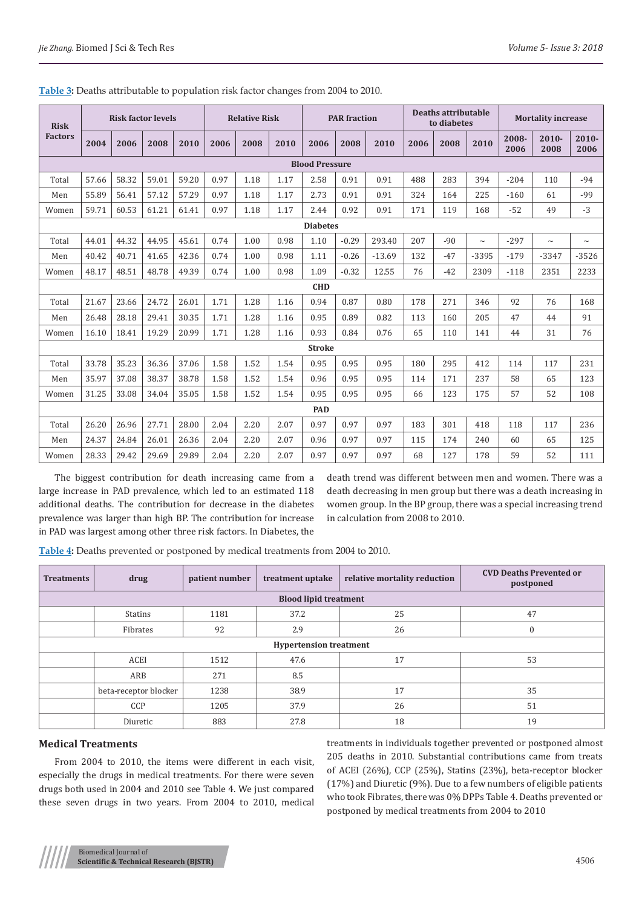| <b>Risk</b>     | <b>Risk factor levels</b> |       |       | <b>Relative Risk</b> |      |      | <b>PAR</b> fraction |                       |         | Deaths attributable<br>to diabetes |      |       | <b>Mortality increase</b> |               |                  |                  |
|-----------------|---------------------------|-------|-------|----------------------|------|------|---------------------|-----------------------|---------|------------------------------------|------|-------|---------------------------|---------------|------------------|------------------|
| <b>Factors</b>  | 2004                      | 2006  | 2008  | 2010                 | 2006 | 2008 | 2010                | 2006                  | 2008    | 2010                               | 2006 | 2008  | 2010                      | 2008-<br>2006 | $2010 -$<br>2008 | $2010 -$<br>2006 |
|                 |                           |       |       |                      |      |      |                     | <b>Blood Pressure</b> |         |                                    |      |       |                           |               |                  |                  |
| Total           | 57.66                     | 58.32 | 59.01 | 59.20                | 0.97 | 1.18 | 1.17                | 2.58                  | 0.91    | 0.91                               | 488  | 283   | 394                       | $-204$        | 110              | $-94$            |
| Men             | 55.89                     | 56.41 | 57.12 | 57.29                | 0.97 | 1.18 | 1.17                | 2.73                  | 0.91    | 0.91                               | 324  | 164   | 225                       | $-160$        | 61               | -99              |
| Women           | 59.71                     | 60.53 | 61.21 | 61.41                | 0.97 | 1.18 | 1.17                | 2.44                  | 0.92    | 0.91                               | 171  | 119   | 168                       | $-52$         | 49               | $-3$             |
| <b>Diabetes</b> |                           |       |       |                      |      |      |                     |                       |         |                                    |      |       |                           |               |                  |                  |
| Total           | 44.01                     | 44.32 | 44.95 | 45.61                | 0.74 | 1.00 | 0.98                | 1.10                  | $-0.29$ | 293.40                             | 207  | $-90$ | $\sim$                    | $-297$        | $\sim$           | $\sim$           |
| Men             | 40.42                     | 40.71 | 41.65 | 42.36                | 0.74 | 1.00 | 0.98                | 1.11                  | $-0.26$ | $-13.69$                           | 132  | $-47$ | $-3395$                   | $-179$        | $-3347$          | $-3526$          |
| Women           | 48.17                     | 48.51 | 48.78 | 49.39                | 0.74 | 1.00 | 0.98                | 1.09                  | $-0.32$ | 12.55                              | 76   | $-42$ | 2309                      | $-118$        | 2351             | 2233             |
|                 |                           |       |       |                      |      |      |                     | <b>CHD</b>            |         |                                    |      |       |                           |               |                  |                  |
| Total           | 21.67                     | 23.66 | 24.72 | 26.01                | 1.71 | 1.28 | 1.16                | 0.94                  | 0.87    | 0.80                               | 178  | 271   | 346                       | 92            | 76               | 168              |
| Men             | 26.48                     | 28.18 | 29.41 | 30.35                | 1.71 | 1.28 | 1.16                | 0.95                  | 0.89    | 0.82                               | 113  | 160   | 205                       | 47            | 44               | 91               |
| Women           | 16.10                     | 18.41 | 19.29 | 20.99                | 1.71 | 1.28 | 1.16                | 0.93                  | 0.84    | 0.76                               | 65   | 110   | 141                       | 44            | 31               | 76               |
|                 |                           |       |       |                      |      |      |                     | <b>Stroke</b>         |         |                                    |      |       |                           |               |                  |                  |
| Total           | 33.78                     | 35.23 | 36.36 | 37.06                | 1.58 | 1.52 | 1.54                | 0.95                  | 0.95    | 0.95                               | 180  | 295   | 412                       | 114           | 117              | 231              |
| Men             | 35.97                     | 37.08 | 38.37 | 38.78                | 1.58 | 1.52 | 1.54                | 0.96                  | 0.95    | 0.95                               | 114  | 171   | 237                       | 58            | 65               | 123              |
| Women           | 31.25                     | 33.08 | 34.04 | 35.05                | 1.58 | 1.52 | 1.54                | 0.95                  | 0.95    | 0.95                               | 66   | 123   | 175                       | 57            | 52               | 108              |
|                 |                           |       |       |                      |      |      |                     | <b>PAD</b>            |         |                                    |      |       |                           |               |                  |                  |
| Total           | 26.20                     | 26.96 | 27.71 | 28.00                | 2.04 | 2.20 | 2.07                | 0.97                  | 0.97    | 0.97                               | 183  | 301   | 418                       | 118           | 117              | 236              |
| Men             | 24.37                     | 24.84 | 26.01 | 26.36                | 2.04 | 2.20 | 2.07                | 0.96                  | 0.97    | 0.97                               | 115  | 174   | 240                       | 60            | 65               | 125              |
| Women           | 28.33                     | 29.42 | 29.69 | 29.89                | 2.04 | 2.20 | 2.07                | 0.97                  | 0.97    | 0.97                               | 68   | 127   | 178                       | 59            | 52               | 111              |

**Table 3:** Deaths attributable to population risk factor changes from 2004 to 2010.

The biggest contribution for death increasing came from a large increase in PAD prevalence, which led to an estimated 118 additional deaths. The contribution for decrease in the diabetes prevalence was larger than high BP. The contribution for increase in PAD was largest among other three risk factors. In Diabetes, the

death trend was different between men and women. There was a death decreasing in men group but there was a death increasing in women group. In the BP group, there was a special increasing trend in calculation from 2008 to 2010.

**Table 4:** Deaths prevented or postponed by medical treatments from 2004 to 2010.

| <b>Treatments</b>             | drug                  | patient number | treatment uptake | relative mortality reduction | <b>CVD Deaths Prevented or</b><br>postponed |  |  |  |  |  |  |  |  |
|-------------------------------|-----------------------|----------------|------------------|------------------------------|---------------------------------------------|--|--|--|--|--|--|--|--|
| <b>Blood lipid treatment</b>  |                       |                |                  |                              |                                             |  |  |  |  |  |  |  |  |
|                               | <b>Statins</b>        | 1181           | 37.2             | 25                           | 47                                          |  |  |  |  |  |  |  |  |
|                               | Fibrates              | 92             | 2.9              | 26                           |                                             |  |  |  |  |  |  |  |  |
| <b>Hypertension treatment</b> |                       |                |                  |                              |                                             |  |  |  |  |  |  |  |  |
|                               | <b>ACEI</b>           | 1512           | 47.6             | 17                           | 53                                          |  |  |  |  |  |  |  |  |
|                               | ARB                   | 271            | 8.5              |                              |                                             |  |  |  |  |  |  |  |  |
|                               | beta-receptor blocker | 1238           | 38.9             | 17                           | 35                                          |  |  |  |  |  |  |  |  |
|                               | CCP                   | 1205           | 37.9             | 26                           | 51                                          |  |  |  |  |  |  |  |  |
|                               | Diuretic              | 883            | 27.8             | 18                           | 19                                          |  |  |  |  |  |  |  |  |

## **Medical Treatments**

From 2004 to 2010, the items were different in each visit, especially the drugs in medical treatments. For there were seven drugs both used in 2004 and 2010 see Table 4. We just compared these seven drugs in two years. From 2004 to 2010, medical treatments in individuals together prevented or postponed almost 205 deaths in 2010. Substantial contributions came from treats of ACEI (26%), CCP (25%), Statins (23%), beta-receptor blocker (17%) and Diuretic (9%). Due to a few numbers of eligible patients who took Fibrates, there was 0% DPPs Table 4. Deaths prevented or postponed by medical treatments from 2004 to 2010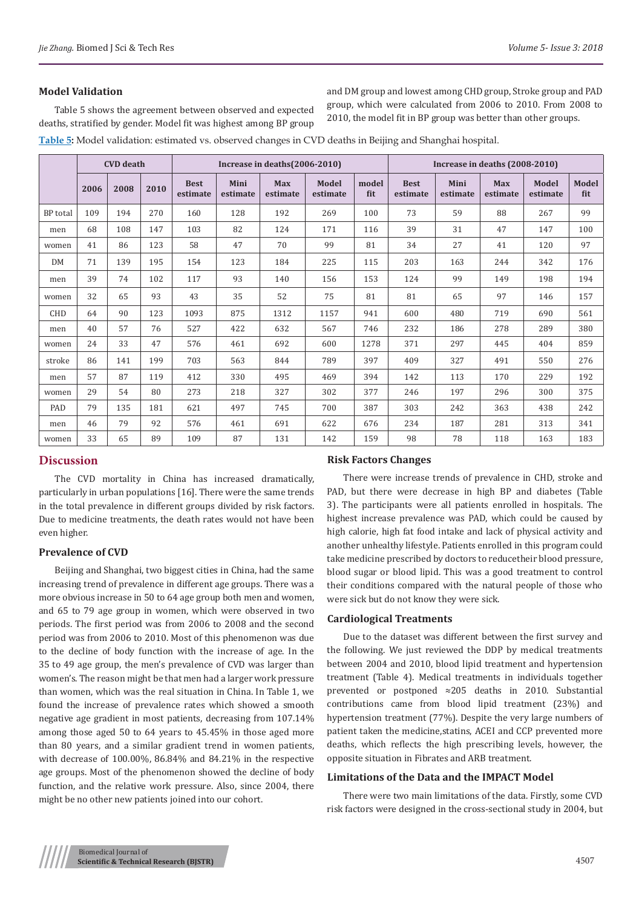## **Model Validation**

Table 5 shows the agreement between observed and expected deaths, stratified by gender. Model fit was highest among BP group and DM group and lowest among CHD group, Stroke group and PAD group, which were calculated from 2006 to 2010. From 2008 to 2010, the model fit in BP group was better than other groups.

**Table 5:** Model validation: estimated vs. observed changes in CVD deaths in Beijing and Shanghai hospital.

|                 |      | <b>CVD</b> death |      |                         |                  | Increase in deaths (2006-2010) |                   | Increase in deaths (2008-2010) |                         |                  |                        |                   |                     |
|-----------------|------|------------------|------|-------------------------|------------------|--------------------------------|-------------------|--------------------------------|-------------------------|------------------|------------------------|-------------------|---------------------|
|                 | 2006 | 2008             | 2010 | <b>Best</b><br>estimate | Mini<br>estimate | <b>Max</b><br>estimate         | Model<br>estimate | model<br>fit                   | <b>Best</b><br>estimate | Mini<br>estimate | <b>Max</b><br>estimate | Model<br>estimate | <b>Model</b><br>fit |
| <b>BP</b> total | 109  | 194              | 270  | 160                     | 128              | 192                            | 269               | 100                            | 73                      | 59               | 88                     | 267               | 99                  |
| men             | 68   | 108              | 147  | 103                     | 82               | 124                            | 171               | 116                            | 39                      | 31               | 47                     | 147               | 100                 |
| women           | 41   | 86               | 123  | 58                      | 47               | 70                             | 99                | 81                             | 34                      | 27               | 41                     | 120               | 97                  |
| <b>DM</b>       | 71   | 139              | 195  | 154                     | 123              | 184                            | 225               | 115                            | 203                     | 163              | 244                    | 342               | 176                 |
| men             | 39   | 74               | 102  | 117                     | 93               | 140                            | 156               | 153                            | 124                     | 99               | 149                    | 198               | 194                 |
| women           | 32   | 65               | 93   | 43                      | 35               | 52                             | 75                | 81                             | 81                      | 65               | 97                     | 146               | 157                 |
| <b>CHD</b>      | 64   | 90               | 123  | 1093                    | 875              | 1312                           | 1157              | 941                            | 600                     | 480              | 719                    | 690               | 561                 |
| men             | 40   | 57               | 76   | 527                     | 422              | 632                            | 567               | 746                            | 232                     | 186              | 278                    | 289               | 380                 |
| women           | 24   | 33               | 47   | 576                     | 461              | 692                            | 600               | 1278                           | 371                     | 297              | 445                    | 404               | 859                 |
| stroke          | 86   | 141              | 199  | 703                     | 563              | 844                            | 789               | 397                            | 409                     | 327              | 491                    | 550               | 276                 |
| men             | 57   | 87               | 119  | 412                     | 330              | 495                            | 469               | 394                            | 142                     | 113              | 170                    | 229               | 192                 |
| women           | 29   | 54               | 80   | 273                     | 218              | 327                            | 302               | 377                            | 246                     | 197              | 296                    | 300               | 375                 |
| PAD             | 79   | 135              | 181  | 621                     | 497              | 745                            | 700               | 387                            | 303                     | 242              | 363                    | 438               | 242                 |
| men             | 46   | 79               | 92   | 576                     | 461              | 691                            | 622               | 676                            | 234                     | 187              | 281                    | 313               | 341                 |
| women           | 33   | 65               | 89   | 109                     | 87               | 131                            | 142               | 159                            | 98                      | 78               | 118                    | 163               | 183                 |

## **Discussion**

The CVD mortality in China has increased dramatically, particularly in urban populations [16]. There were the same trends in the total prevalence in different groups divided by risk factors. Due to medicine treatments, the death rates would not have been even higher.

## **Prevalence of CVD**

Beijing and Shanghai, two biggest cities in China, had the same increasing trend of prevalence in different age groups. There was a more obvious increase in 50 to 64 age group both men and women, and 65 to 79 age group in women, which were observed in two periods. The first period was from 2006 to 2008 and the second period was from 2006 to 2010. Most of this phenomenon was due to the decline of body function with the increase of age. In the 35 to 49 age group, the men's prevalence of CVD was larger than women's. The reason might be that men had a larger work pressure than women, which was the real situation in China. In Table 1, we found the increase of prevalence rates which showed a smooth negative age gradient in most patients, decreasing from 107.14% among those aged 50 to 64 years to 45.45% in those aged more than 80 years, and a similar gradient trend in women patients, with decrease of 100.00%, 86.84% and 84.21% in the respective age groups. Most of the phenomenon showed the decline of body function, and the relative work pressure. Also, since 2004, there might be no other new patients joined into our cohort.

## **Risk Factors Changes**

There were increase trends of prevalence in CHD, stroke and PAD, but there were decrease in high BP and diabetes (Table 3). The participants were all patients enrolled in hospitals. The highest increase prevalence was PAD, which could be caused by high calorie, high fat food intake and lack of physical activity and another unhealthy lifestyle. Patients enrolled in this program could take medicine prescribed by doctors to reducetheir blood pressure, blood sugar or blood lipid. This was a good treatment to control their conditions compared with the natural people of those who were sick but do not know they were sick.

#### **Cardiological Treatments**

Due to the dataset was different between the first survey and the following. We just reviewed the DDP by medical treatments between 2004 and 2010, blood lipid treatment and hypertension treatment (Table 4). Medical treatments in individuals together prevented or postponed ≈205 deaths in 2010. Substantial contributions came from blood lipid treatment (23%) and hypertension treatment (77%). Despite the very large numbers of patient taken the medicine,statins, ACEI and CCP prevented more deaths, which reflects the high prescribing levels, however, the opposite situation in Fibrates and ARB treatment.

## **Limitations of the Data and the IMPACT Model**

There were two main limitations of the data. Firstly, some CVD risk factors were designed in the cross-sectional study in 2004, but